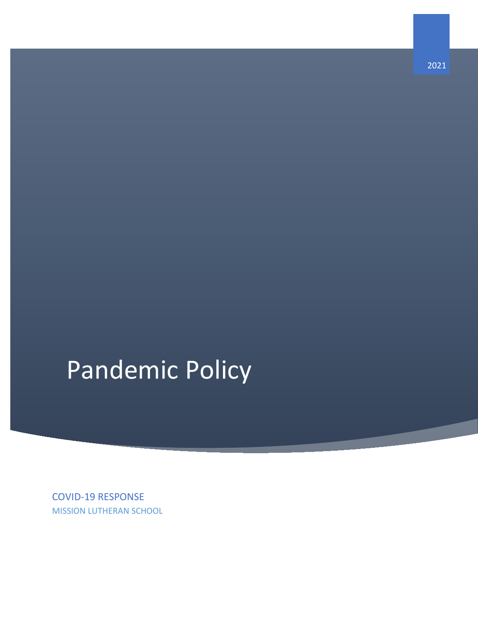# Pandemic Policy

COVID-19 RESPONSE MISSION LUTHERAN SCHOOL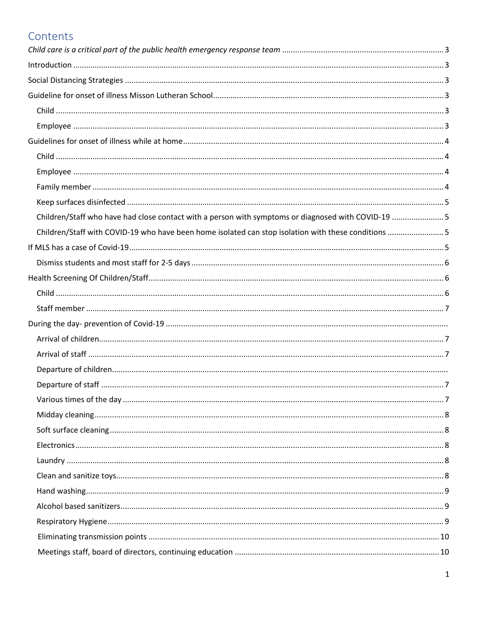# Contents

| Children/Staff who have had close contact with a person with symptoms or diagnosed with COVID-19  5 |  |
|-----------------------------------------------------------------------------------------------------|--|
| Children/Staff with COVID-19 who have been home isolated can stop isolation with these conditions 5 |  |
|                                                                                                     |  |
|                                                                                                     |  |
|                                                                                                     |  |
|                                                                                                     |  |
|                                                                                                     |  |
|                                                                                                     |  |
|                                                                                                     |  |
|                                                                                                     |  |
|                                                                                                     |  |
|                                                                                                     |  |
|                                                                                                     |  |
|                                                                                                     |  |
|                                                                                                     |  |
|                                                                                                     |  |
|                                                                                                     |  |
|                                                                                                     |  |
|                                                                                                     |  |
|                                                                                                     |  |
|                                                                                                     |  |
|                                                                                                     |  |
|                                                                                                     |  |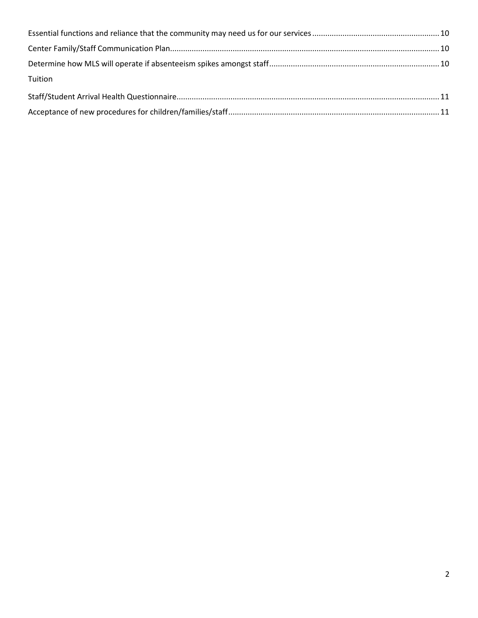<span id="page-2-0"></span>

| Tuition |  |
|---------|--|
|         |  |
|         |  |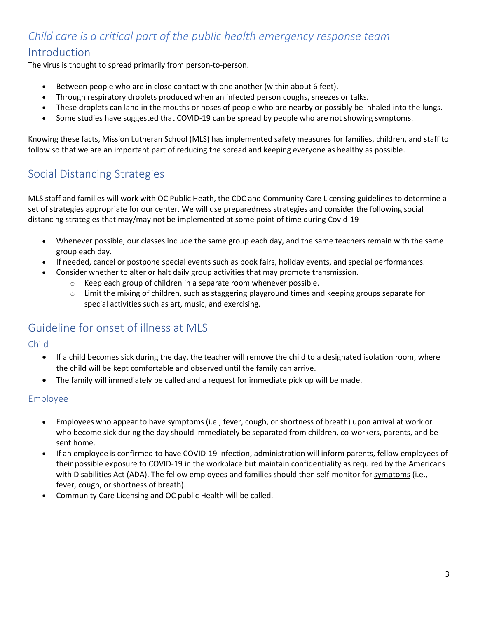# <span id="page-3-0"></span>*Child care is a critical part of the public health emergency response team* Introduction

The virus is thought to spread primarily from person-to-person.

- Between people who are in close contact with one another (within about 6 feet).
- Through respiratory droplets produced when an infected person coughs, sneezes or talks.
- These droplets can land in the mouths or noses of people who are nearby or possibly be inhaled into the lungs.
- Some studies have suggested that COVID-19 can be spread by people who are not showing symptoms.

Knowing these facts, Mission Lutheran School (MLS) has implemented safety measures for families, children, and staff to follow so that we are an important part of reducing the spread and keeping everyone as healthy as possible.

## <span id="page-3-1"></span>Social Distancing Strategies

MLS staff and families will work with OC Public Heath, the CDC and Community Care Licensing guidelines to determine a set of strategies appropriate for our center. We will use preparedness strategies and consider the following social distancing strategies that may/may not be implemented at some point of time during Covid-19

- Whenever possible, our classes include the same group each day, and the same teachers remain with the same group each day.
- If needed, cancel or postpone special events such as book fairs, holiday events, and special performances.
- Consider whether to alter or halt daily group activities that may promote transmission.
	- o Keep each group of children in a separate room whenever possible.
	- o Limit the mixing of children, such as staggering playground times and keeping groups separate for special activities such as art, music, and exercising.

## <span id="page-3-2"></span>Guideline for onset of illness at MLS

#### <span id="page-3-3"></span>Child

- If a child becomes sick during the day, the teacher will remove the child to a designated isolation room, where the child will be kept comfortable and observed until the family can arrive.
- The family will immediately be called and a request for immediate pick up will be made.

#### <span id="page-3-4"></span>Employee

- Employees who appear to hav[e symptoms](https://www.cdc.gov/coronavirus/2019-ncov/about/symptoms.html) (i.e., fever, cough, or shortness of breath) upon arrival at work or who become sick during the day should immediately be separated from children, co-workers, parents, and be sent home.
- If an employee is confirmed to have COVID-19 infection, administration will inform parents, fellow employees of their possible exposure to COVID-19 in the workplace but maintain confidentiality as required by the Americans with Disabilities Act (ADA). The fellow employees and families should then self-monitor for [symptoms](https://www.cdc.gov/coronavirus/2019-ncov/about/symptoms.html) (i.e., fever, cough, or shortness of breath).
- Community Care Licensing and OC public Health will be called.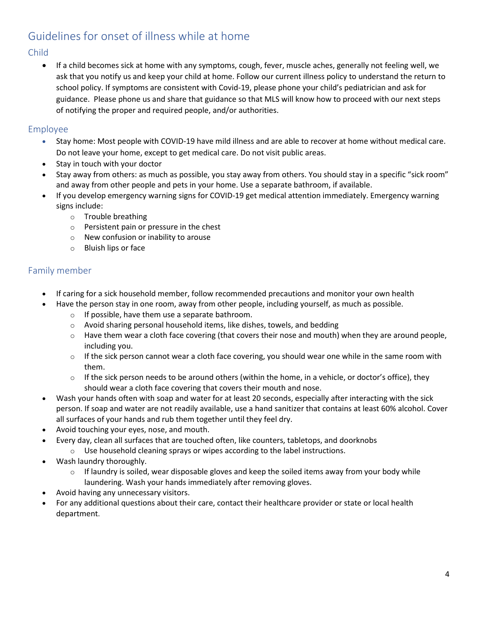# <span id="page-4-0"></span>Guidelines for onset of illness while at home

#### <span id="page-4-1"></span>Child

• If a child becomes sick at home with any symptoms, cough, fever, muscle aches, generally not feeling well, we ask that you notify us and keep your child at home. Follow our current illness policy to understand the return to school policy. If symptoms are consistent with Covid-19, please phone your child's pediatrician and ask for guidance. Please phone us and share that guidance so that MLS will know how to proceed with our next steps of notifying the proper and required people, and/or authorities.

#### <span id="page-4-2"></span>Employee

- Stay home: Most people with COVID-19 have mild illness and are able to recover at home without medical care. Do not leave your home, except to get medical care. Do not visit public areas.
- Stay in touch with your doctor
- Stay away from others: as much as possible, you stay away from others. You should stay in a specific "sick room" and away from other people and pets in your home. Use a separate bathroom, if available.
- If you develop emergency warning signs for COVID-19 get medical attention immediately. Emergency warning signs include:
	- o Trouble breathing
	- o Persistent pain or pressure in the chest
	- o New confusion or inability to arouse
	- o Bluish lips or face

#### <span id="page-4-3"></span>Family member

- I[f caring for a sick household member,](about:blank) follow recommended precautions and monitor your own health
- Have the person stay in one room, away from other people, including yourself, as much as possible.
	- $\circ$  If possible, have them use a separate bathroom.
	- o Avoid sharing personal household items, like dishes, towels, and bedding
	- $\circ$  Have them wear a [cloth face covering](https://www.cdc.gov/coronavirus/2019-ncov/prevent-getting-sick/cloth-face-cover.html) (that covers their nose and mouth) when they are around people, including you.
	- $\circ$  If the sick person cannot wear a cloth face covering, you should wear one while in the same room with them.
	- $\circ$  If the sick person needs to be around others (within the home, in a vehicle, or doctor's office), they should wear a cloth face covering that covers their mouth and nose.
- Wash your hands often with soap and water for at least 20 seconds, especially after interacting with the sick person. If soap and water are not readily available, use a hand sanitizer that contains at least 60% alcohol. Cover all surfaces of your hands and rub them together until they feel dry.
- Avoid touching your eyes, nose, and mouth.
- Every day, clean all surfaces that are touched often, like counters, tabletops, and doorknobs
	- o Use household cleaning sprays or wipes according to the label instructions.
- Wash laundry thoroughly.
	- $\circ$  If laundry is soiled, wear disposable gloves and keep the soiled items away from your body while laundering. Wash your hands immediately after removing gloves.
- Avoid having any unnecessary visitors.
- For any additional questions about their care, contact their healthcare provider or state or local health department.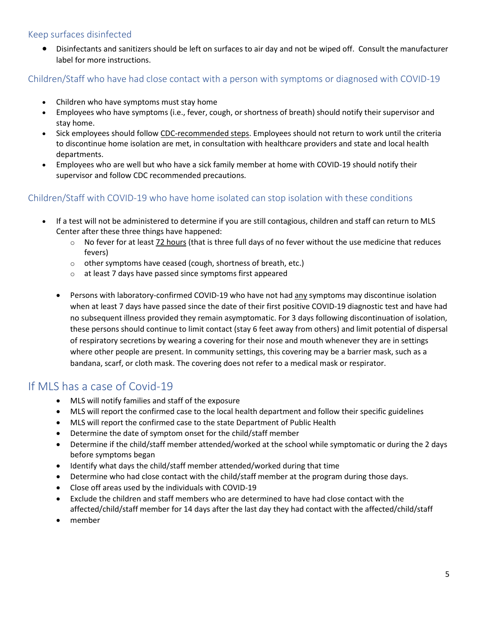#### <span id="page-5-0"></span>Keep surfaces disinfected

• Disinfectants and sanitizers should be left on surfaces to air day and not be wiped off. Consult the manufacturer label for more instructions.

<span id="page-5-1"></span>Children/Staff who have had close contact with a person with symptoms or diagnosed with COVID-19

- Children who have symptoms must stay home
- Employees who have symptoms (i.e., fever, cough, or shortness of breath) should notify their supervisor and stay home.
- Sick employees should follow [CDC-recommended steps.](https://www.cdc.gov/coronavirus/2019-ncov/if-you-are-sick/steps-when-sick.html) Employees should not return to work until the criteria to discontinue home isolation are met, in consultation with healthcare providers and state and local health departments.
- Employees who are well but who have a sick family member at home with COVID-19 should notify their supervisor and follow CDC recommended precautions.

#### <span id="page-5-2"></span>Children/Staff with COVID-19 who have home isolated can stop isolation with these conditions

- If a test will not be administered to determine if you are still contagious, children and staff can return to MLS Center after these three things have happened:
	- o No fever for at least 72 hours (that is three full days of no fever without the use medicine that reduces fevers)
	- o other symptoms have ceased (cough, shortness of breath, etc.)
	- o at least 7 days have passed since symptoms first appeared
	- Persons with laboratory-confirmed COVID-19 who have not had any symptoms may discontinue isolation when at least 7 days have passed since the date of their first positive COVID-19 diagnostic test and have had no subsequent illness provided they remain asymptomatic. For 3 days following discontinuation of isolation, these persons should continue to limit contact (stay 6 feet away from others) and limit potential of dispersal of respiratory secretions by wearing a covering for their nose and mouth whenever they are in settings where other people are present. In community settings, this covering may be a barrier mask, such as a bandana, scarf, or cloth mask. The covering does not refer to a medical mask or respirator.

## <span id="page-5-3"></span>If MLS has a case of Covid-19

- MLS will notify families and staff of the exposure
- MLS will report the confirmed case to the local health department and follow their specific guidelines
- MLS will report the confirmed case to the state Department of Public Health
- Determine the date of symptom onset for the child/staff member
- Determine if the child/staff member attended/worked at the school while symptomatic or during the 2 days before symptoms began
- Identify what days the child/staff member attended/worked during that time
- Determine who had close contact with the child/staff member at the program during those days.
- Close off areas used by the individuals with COVID-19
- Exclude the children and staff members who are determined to have had close contact with the affected/child/staff member for 14 days after the last day they had contact with the affected/child/staff
- member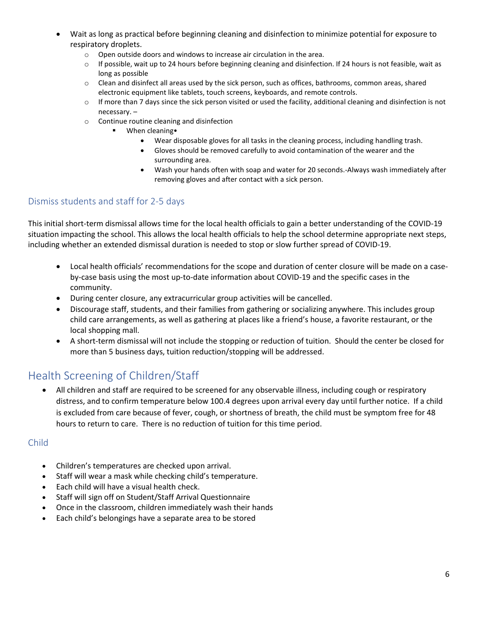- Wait as long as practical before beginning cleaning and disinfection to minimize potential for exposure to respiratory droplets.
	- o Open outside doors and windows to increase air circulation in the area.
	- $\circ$  If possible, wait up to 24 hours before beginning cleaning and disinfection. If 24 hours is not feasible, wait as long as possible
	- o Clean and disinfect all areas used by the sick person, such as offices, bathrooms, common areas, shared electronic equipment like tablets, touch screens, keyboards, and remote controls.
	- $\circ$  If more than 7 days since the sick person visited or used the facility, additional cleaning and disinfection is not necessary. –
	- o Continue routine cleaning and disinfection
		- When cleaning•
			- Wear disposable gloves for all tasks in the cleaning process, including handling trash.
			- Gloves should be removed carefully to avoid contamination of the wearer and the surrounding area.
			- Wash your hands often with soap and water for 20 seconds.-Always wash immediately after removing gloves and after contact with a sick person.

#### <span id="page-6-0"></span>Dismiss students and staff for 2-5 days

This initial short-term dismissal allows time for the local health officials to gain a better understanding of the COVID-19 situation impacting the school. This allows the local health officials to help the school determine appropriate next steps, including whether an extended dismissal duration is needed to stop or slow further spread of COVID-19.

- Local health officials' recommendations for the scope and duration of center closure will be made on a caseby-case basis using the most up-to-date information about COVID-19 and the specific cases in the community.
- During center closure, any extracurricular group activities will be cancelled.
- Discourage staff, students, and their families from gathering or socializing anywhere. This includes group child care arrangements, as well as gathering at places like a friend's house, a favorite restaurant, or the local shopping mall.
- A short-term dismissal will not include the stopping or reduction of tuition. Should the center be closed for more than 5 business days, tuition reduction/stopping will be addressed.

## <span id="page-6-1"></span>Health Screening of Children/Staff

• All children and staff are required to be screened for any observable illness, including cough or respiratory distress, and to confirm temperature below 100.4 degrees upon arrival every day until further notice. If a child is excluded from care because of fever, cough, or shortness of breath, the child must be symptom free for 48 hours to return to care. There is no reduction of tuition for this time period.

#### <span id="page-6-2"></span>Child

- Children's temperatures are checked upon arrival.
- Staff will wear a mask while checking child's temperature.
- Each child will have a visual health check.
- Staff will sign off on Student/Staff Arrival Questionnaire
- Once in the classroom, children immediately wash their hands
- Each child's belongings have a separate area to be stored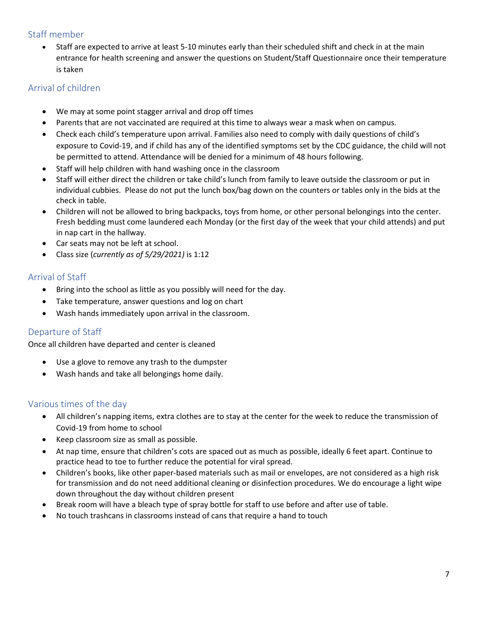#### <span id="page-7-0"></span>Staff member

• Staff are expected to arrive at least 5-10 minutes early than their scheduled shift and check in at the main entrance for health screening and answer the questions on Student/Staff Questionnaire once their temperature is taken

#### <span id="page-7-1"></span>Arrival of children

- We may at some point stagger arrival and drop off times
- Parents that are not vaccinated are required at this time to always wear a mask when on campus.
- Check each child's temperature upon arrival. Families also need to comply with daily questions of child's exposure to Covid-19, and if child has any of the identified symptoms set by the CDC guidance, the child will not be permitted to attend. Attendance will be denied for a minimum of 48 hours following.
- Staff will help children with hand washing once in the classroom
- Staff will either direct the children or take child's lunch from family to leave outside the classroom or put in individual cubbies. Please do not put the lunch box/bag down on the counters or tables only in the bids at the check in table.
- Children will not be allowed to bring backpacks, toys from home, or other personal belongings into the center. Fresh bedding must come laundered each Monday (or the first day of the week that your child attends) and put in nap cart in the hallway.
- Car seats may not be left at school.
- Class size (*currently as of 5/29/2021)* is 1:12

#### <span id="page-7-2"></span>Arrival of Staff

- Bring into the school as little as you possibly will need for the day.
- Take temperature, answer questions and log on chart
- Wash hands immediately upon arrival in the classroom.

#### <span id="page-7-3"></span>Departure of Staff

Once all children have departed and center is cleaned

- Use a glove to remove any trash to the dumpster
- Wash hands and take all belongings home daily.

#### <span id="page-7-4"></span>Various times of the day

- All children's napping items, extra clothes are to stay at the center for the week to reduce the transmission of Covid-19 from home to school
- Keep classroom size as small as possible.
- At nap time, ensure that children's cots are spaced out as much as possible, ideally 6 feet apart. Continue to practice head to toe to further reduce the potential for viral spread.
- Children's books, like other paper-based materials such as mail or envelopes, are not considered as a high risk for transmission and do not need additional cleaning or disinfection procedures. We do encourage a light wipe down throughout the day without children present
- Break room will have a bleach type of spray bottle for staff to use before and after use of table.
- No touch trashcans in classrooms instead of cans that require a hand to touch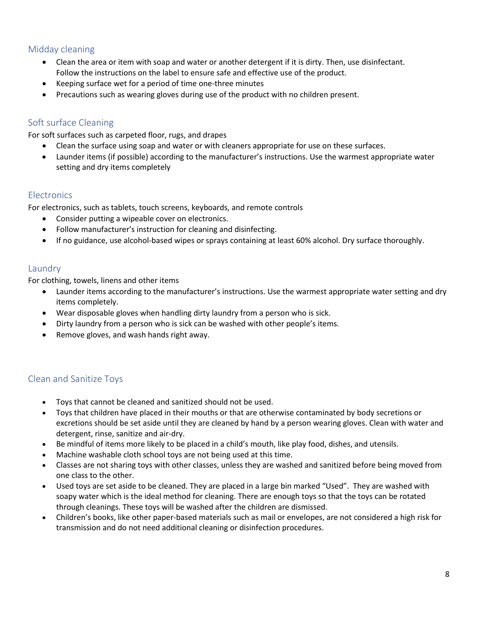#### <span id="page-8-0"></span>Midday cleaning

- Clean the area or item with soap and water or another detergent if it is dirty. Then, use disinfectant. Follow the instructions on the label to ensure safe and effective use of the product.
- Keeping surface wet for a period of time one-three minutes
- Precautions such as wearing gloves during use of the product with no children present.

#### <span id="page-8-1"></span>Soft surface Cleaning

For soft surfaces such as carpeted floor, rugs, and drapes

- Clean the surface using soap and water or with cleaners appropriate for use on these surfaces.
- Launder items (if possible) according to the manufacturer's instructions. Use the warmest appropriate water setting and dry items completely

#### <span id="page-8-2"></span>**Electronics**

For electronics, such as tablets, touch screens, keyboards, and remote controls

- Consider putting a wipeable cover on electronics.
- Follow manufacturer's instruction for cleaning and disinfecting.
- <span id="page-8-3"></span>• If no guidance, use alcohol-based wipes or sprays containing at least 60% alcohol. Dry surface thoroughly.

#### Laundry

For clothing, towels, linens and other items

- Launder items according to the manufacturer's instructions. Use the warmest appropriate water setting and dry items completely.
- Wear disposable gloves when handling dirty laundry from a person who is sick.
- Dirty laundry from a person who is sick can be washed with other people's items.
- <span id="page-8-4"></span>• Remove gloves, and wash hands right away.

#### Clean and Sanitize Toys

- Toys that cannot be cleaned and sanitized should not be used.
- Toys that children have placed in their mouths or that are otherwise contaminated by body secretions or excretions should be set aside until they are cleaned by hand by a person wearing gloves. Clean with water and detergent, rinse, sanitize and air-dry.
- Be mindful of items more likely to be placed in a child's mouth, like play food, dishes, and utensils.
- Machine washable cloth school toys are not being used at this time.
- Classes are not sharing toys with other classes, unless they are washed and sanitized before being moved from one class to the other.
- Used toys are set aside to be cleaned. They are placed in a large bin marked "Used". They are washed with soapy water which is the ideal method for cleaning. There are enough toys so that the toys can be rotated through cleanings. These toys will be washed after the children are dismissed.
- Children's books, like other paper-based materials such as mail or envelopes, are not considered a high risk for transmission and do not need additional cleaning or disinfection procedures.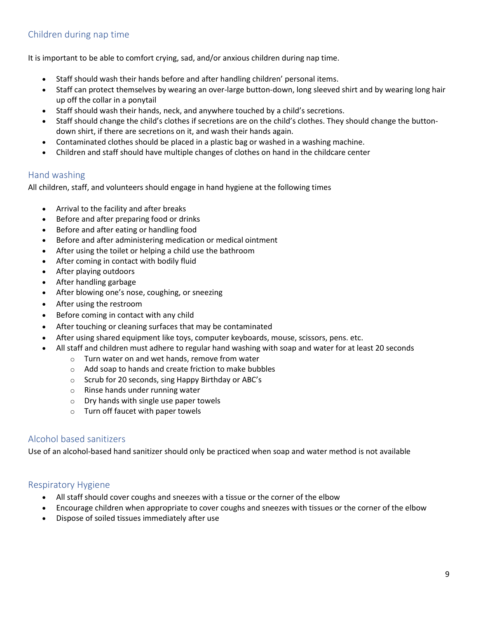#### Children during nap time

It is important to be able to comfort crying, sad, and/or anxious children during nap time.

- Staff should wash their hands before and after handling children' personal items.
- Staff can protect themselves by wearing an over-large button-down, long sleeved shirt and by wearing long hair up off the collar in a ponytail
- Staff should wash their hands, neck, and anywhere touched by a child's secretions.
- Staff should change the child's clothes if secretions are on the child's clothes. They should change the buttondown shirt, if there are secretions on it, and wash their hands again.
- Contaminated clothes should be placed in a plastic bag or washed in a washing machine.
- Children and staff should have multiple changes of clothes on hand in the childcare center

#### <span id="page-9-0"></span>Hand washing

All children, staff, and volunteers should engage in hand hygiene at the following times

- Arrival to the facility and after breaks
- Before and after preparing food or drinks
- Before and after eating or handling food
- Before and after administering medication or medical ointment
- After using the toilet or helping a child use the bathroom
- After coming in contact with bodily fluid
- After playing outdoors
- After handling garbage
- After blowing one's nose, coughing, or sneezing
- After using the restroom
- Before coming in contact with any child
- After touching or cleaning surfaces that may be contaminated
- After using shared equipment like toys, computer keyboards, mouse, scissors, pens. etc.
- All staff and children must adhere to regular hand washing with soap and water for at least 20 seconds
	- o Turn water on and wet hands, remove from water
	- o Add soap to hands and create friction to make bubbles
	- o Scrub for 20 seconds, sing Happy Birthday or ABC's
	- o Rinse hands under running water
	- o Dry hands with single use paper towels
	- o Turn off faucet with paper towels

#### <span id="page-9-1"></span>Alcohol based sanitizers

<span id="page-9-2"></span>Use of an alcohol-based hand sanitizer should only be practiced when soap and water method is not available

#### Respiratory Hygiene

- All staff should cover coughs and sneezes with a tissue or the corner of the elbow
- Encourage children when appropriate to cover coughs and sneezes with tissues or the corner of the elbow
- Dispose of soiled tissues immediately after use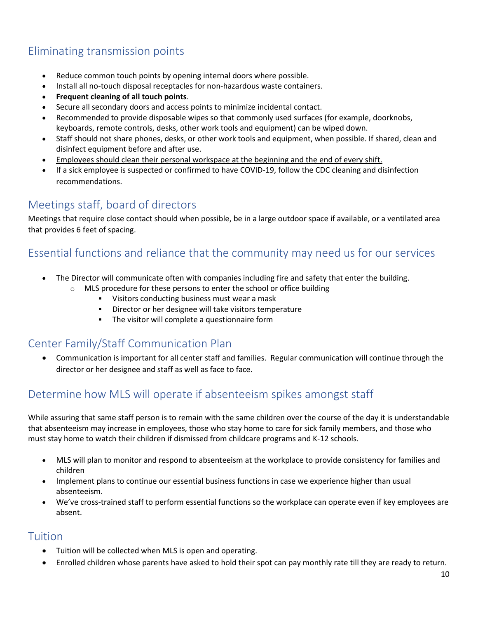# <span id="page-10-0"></span>Eliminating transmission points

- Reduce common touch points by opening internal doors where possible.
- Install all no-touch disposal receptacles for non-hazardous waste containers.
- **Frequent cleaning of all touch points**.
- Secure all secondary doors and access points to minimize incidental contact.
- Recommended to provide disposable wipes so that commonly used surfaces (for example, doorknobs, keyboards, remote controls, desks, other work tools and equipment) can be wiped down.
- Staff should not share phones, desks, or other work tools and equipment, when possible. If shared, clean and disinfect equipment before and after use.
- Employees should clean their personal workspace at the beginning and the end of every shift.
- If a sick employee is suspected or confirmed to have COVID-19, follow the CDC cleaning and disinfection recommendations.

### <span id="page-10-1"></span>Meetings staff, board of directors

Meetings that require close contact should when possible, be in a large outdoor space if available, or a ventilated area that provides 6 feet of spacing.

## <span id="page-10-2"></span>Essential functions and reliance that the community may need us for our services

- The Director will communicate often with companies including fire and safety that enter the building.
	- $\circ$  MLS procedure for these persons to enter the school or office building
		- Visitors conducting business must wear a mask
		- Director or her designee will take visitors temperature
		- **•** The visitor will complete a questionnaire form

## <span id="page-10-3"></span>Center Family/Staff Communication Plan

• Communication is important for all center staff and families. Regular communication will continue through the director or her designee and staff as well as face to face.

## <span id="page-10-4"></span>Determine how MLS will operate if absenteeism spikes amongst staff

While assuring that same staff person is to remain with the same children over the course of the day it is understandable that absenteeism may increase in employees, those who stay home to care for sick family members, and those who must stay home to watch their children if dismissed from [childcare programs and K-12 schools.](https://www.cdc.gov/coronavirus/2019-ncov/community/schools-childcare/guidance-for-schools.html)

- MLS will plan to monitor and respond to absenteeism at the workplace to provide consistency for families and children
- Implement plans to continue our essential business functions in case we experience higher than usual absenteeism.
- We've cross-trained staff to perform essential functions so the workplace can operate even if key employees are absent.

#### Tuition

- Tuition will be collected when MLS is open and operating.
- Enrolled children whose parents have asked to hold their spot can pay monthly rate till they are ready to return.